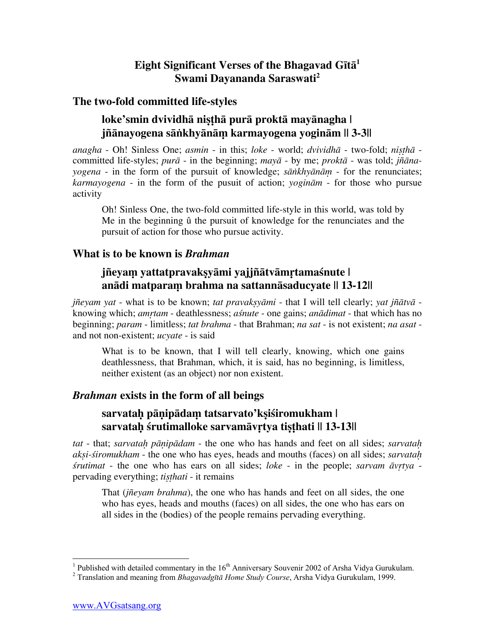# **Eight Significant Verses of the Bhagavad Gītā<sup>1</sup> Swami Dayananda Saraswati2**

### **The two-fold committed life-styles**

# **loke'smin dvividhā niùñhā purā proktā mayānagha | jñānayogena sāïkhyānāü karmayogena yoginām || 3-3||**

*anagha* - Oh! Sinless One; *asmin* - in this; *loke* - world; *dvividhā* - two-fold; *niùñhā* committed life-styles; *purā* - in the beginning; *mayā* - by me; *proktā* - was told; *jñānayogena* - in the form of the pursuit of knowledge; *sāïkhyānāü* - for the renunciates; *karmayogena* - in the form of the pusuit of action; *yoginām* - for those who pursue activity

Oh! Sinless One, the two-fold committed life-style in this world, was told by Me in the beginning û the pursuit of knowledge for the renunciates and the pursuit of action for those who pursue activity.

### **What is to be known is** *Brahman*

### **jñeyaü yattatpravakùyāmi yajjñātvāmçtamaśnute | anādi matparaü brahma na sattannāsaducyate || 13-12||**

*jñeyam yat* - what is to be known; *tat pravaksy* $\overline{a}$ *mi* - that I will tell clearly; *yat jñ* $\overline{a}$ *tv* $\overline{a}$  knowing which; *amçtam* - deathlessness; *aśnute* - one gains; *anādimat* - that which has no beginning; *param* - limitless; *tat brahma* - that Brahman; *na sat* - is not existent; *na asat* and not non-existent; *ucyate* - is said

What is to be known, that I will tell clearly, knowing, which one gains deathlessness, that Brahman, which, it is said, has no beginning, is limitless, neither existent (as an object) nor non existent.

### *Brahman* **exists in the form of all beings**

### **sarvataþ pāõipādaü tatsarvato'kùiśiromukham | sarvatah śrutimalloke sarvamāvrtya tisthati || 13-13||**

*tat* - that; *sarvataþ pāõipādam* - the one who has hands and feet on all sides; *sarvataþ akùi-śiromukham* - the one who has eyes, heads and mouths (faces) on all sides; *sarvataþ śrutimat* - the one who has ears on all sides; *loke* - in the people; *sarvam*  $\bar{a}$ *vrtya* pervading everything; *tisthati* - it remains

That (*jñeyam brahma*), the one who has hands and feet on all sides, the one who has eyes, heads and mouths (faces) on all sides, the one who has ears on all sides in the (bodies) of the people remains pervading everything.

<sup>&</sup>lt;sup>1</sup> Published with detailed commentary in the 16<sup>th</sup> Anniversary Souvenir 2002 of Arsha Vidya Gurukulam.

Translation and meaning from *Bhagavadgītā Home Study Course*, Arsha Vidya Gurukulam, 1999.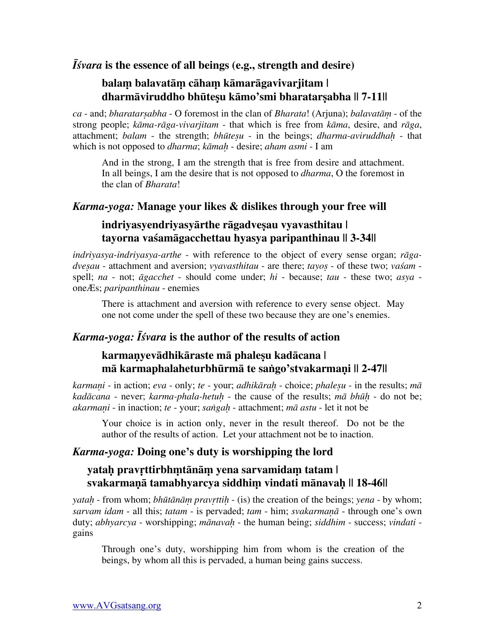### *Īśvara* **is the essence of all beings (e.g., strength and desire)**

### **balaü balavatāü cāhaü kāmarāgavivarjitam | dharmāviruddho bhūteșu kāmo'smi bharatarșabha || 7-11||**

 $ca$  - and; *bharatarsabha* - O foremost in the clan of *Bharata*! (Arjuna); *balavatām* - of the strong people; *kāma-rāga-vivarjitam* - that which is free from *kāma*, desire, and *rāga*, attachment; *balam* - the strength; *bhūteùu* - in the beings; *dharma-aviruddhaþ* - that which is not opposed to *dharma*; *kāmaþ* - desire; *aham asmi* - I am

And in the strong, I am the strength that is free from desire and attachment. In all beings, I am the desire that is not opposed to *dharma*, O the foremost in the clan of *Bharata*!

#### *Karma-yoga:* **Manage your likes & dislikes through your free will**

### **indriyasyendriyasyārthe rāgadveùau vyavasthitau | tayorna vaśamāgacchettau hyasya paripanthinau || 3-34||**

*indriyasya-indriyasya-arthe* - with reference to the object of every sense organ; *rāgadvesau* - attachment and aversion; *vyavasthitau* - are there; *tayos* - of these two; *vaśam* spell; *na* - not; *āgacchet* - should come under; *hi* - because; *tau* - these two; *asya* oneÆs; *paripanthinau* - enemies

There is attachment and aversion with reference to every sense object. May one not come under the spell of these two because they are one's enemies.

### *Karma-yoga: Īśvara* **is the author of the results of action**

### **karmaõyevādhikāraste mā phaleùu kadācana | mā karmaphalaheturbhūrmā te saïgo'stvakarmaõi || 2-47||**

*karmaõi* - in action; *eva* - only; *te* - your; *adhikāraþ* - choice; *phaleùu* - in the results; *mā kadācana* - never; *karma-phala-hetuþ* - the cause of the results; *mā bhūþ* - do not be; *akarmaṇi* - in inaction; *te* - your; *saṅgaḥ* - attachment; *mā astu* - let it not be

Your choice is in action only, never in the result thereof. Do not be the author of the results of action. Let your attachment not be to inaction.

### *Karma-yoga:* **Doing one's duty is worshipping the lord**

### **yataþ pravçttirbhütānāü yena sarvamidaü tatam | svakarmaõā tamabhyarcya siddhiü vindati mānavaþ || 18-46||**

*yataþ* - from whom; *bhūtānāü pravçttiþ* - (is) the creation of the beings; *yena* - by whom; *sarvam idam* - all this; *tatam* - is pervaded; *tam* - him; *svakarmaõā* - through one's own duty; *abhyarcya* - worshipping; *mānavaþ* - the human being; *siddhim* - success; *vindati* gains

Through one's duty, worshipping him from whom is the creation of the beings, by whom all this is pervaded, a human being gains success.